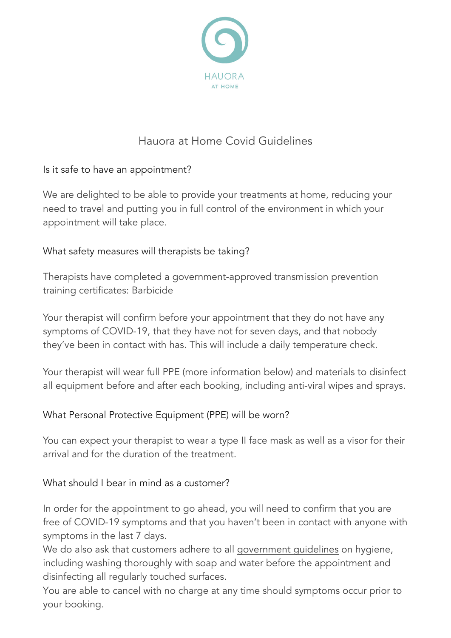

# Hauora at Home Covid Guidelines

## Is it safe to have an appointment?

We are delighted to be able to provide your treatments at home, reducing your need to travel and putting you in full control of the environment in which your appointment will take place.

## What safety measures will therapists be taking?

Therapists have completed a government-approved transmission prevention training certificates: Barbicide

Your therapist will confirm before your appointment that they do not have any symptoms of COVID-19, that they have not for seven days, and that nobody they've been in contact with has. This will include a daily temperature check.

Your therapist will wear full PPE (more information below) and materials to disinfect all equipment before and after each booking, including anti-viral wipes and sprays.

## What Personal Protective Equipment (PPE) will be worn?

You can expect your therapist to wear a type II face mask as well as a visor for their arrival and for the duration of the treatment.

## What should I bear in mind as a customer?

In order for the appointment to go ahead, you will need to confirm that you are free of COVID-19 symptoms and that you haven't been in contact with anyone with symptoms in the last 7 days.

We do also ask that customers adhere to all [government guidelines](https://www.gov.uk/government/collections/coronavirus-covid-19-list-of-guidance) on hygiene, including washing thoroughly with soap and water before the appointment and disinfecting all regularly touched surfaces.

You are able to cancel with no charge at any time should symptoms occur prior to your booking.